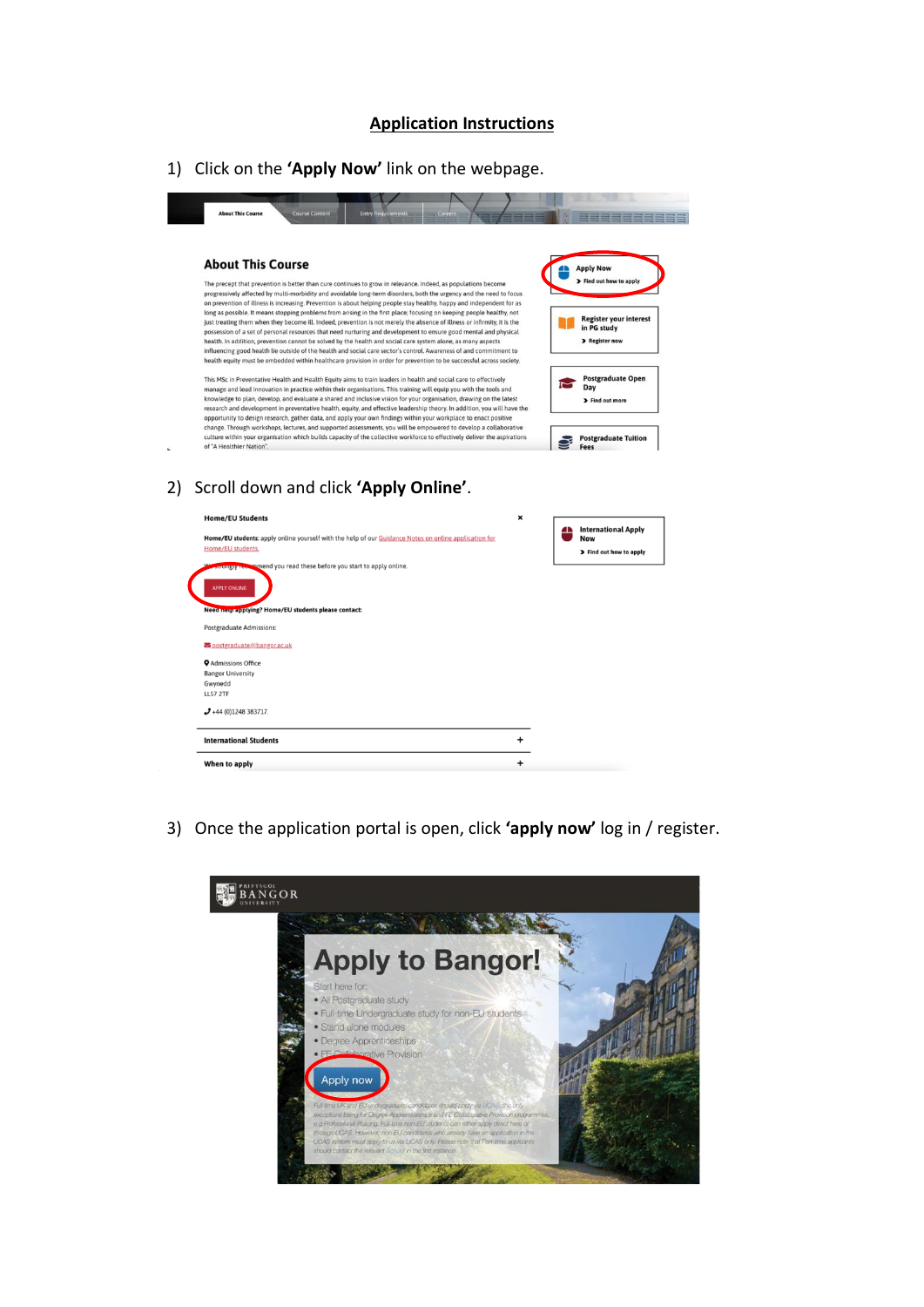## **Application Instructions**

1) Click on the **'Apply Now'** link on the webpage.



3) Once the application portal is open, click **'apply now'** log in / register.

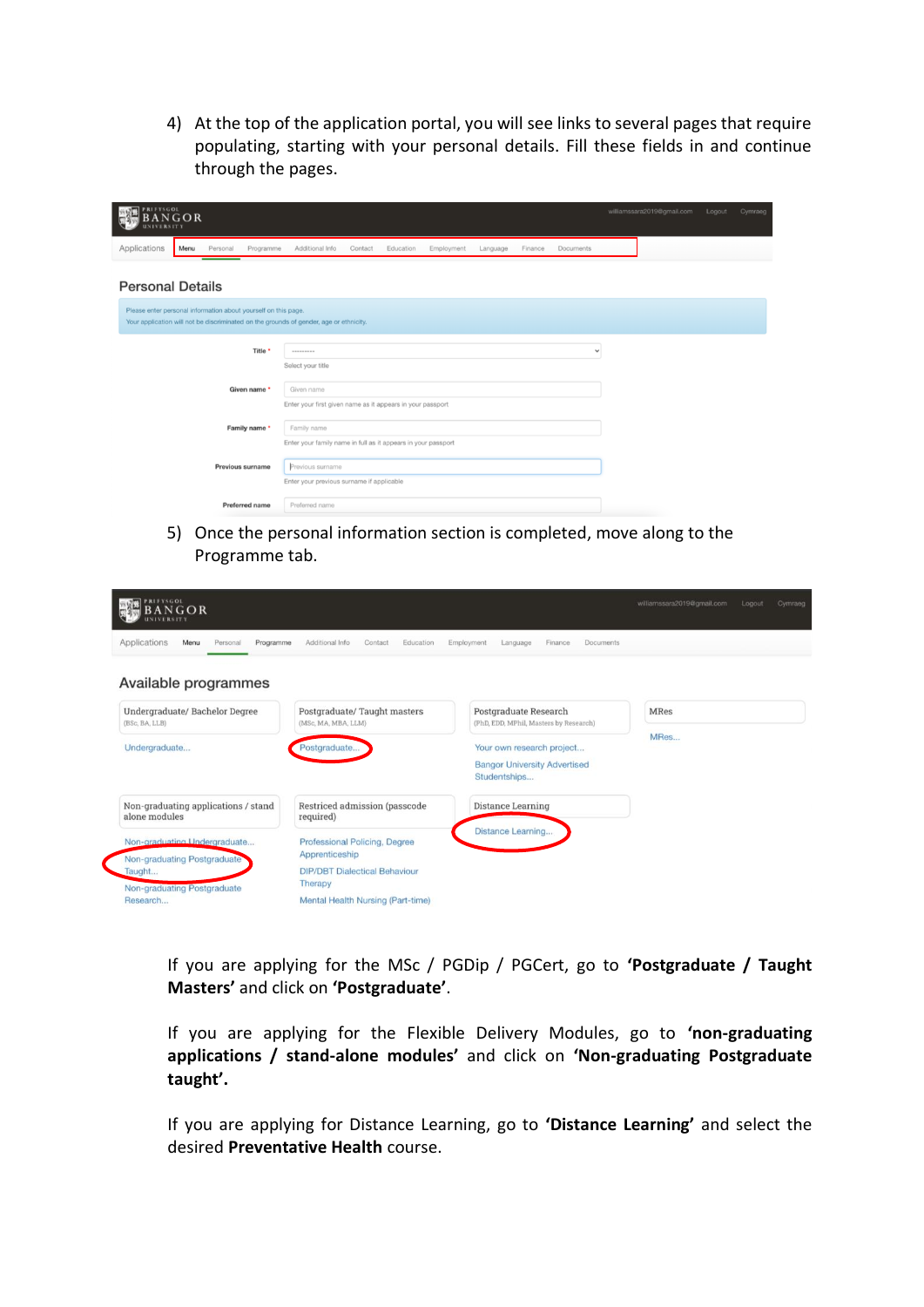4) At the top of the application portal, you will see links to several pages that require populating, starting with your personal details. Fill these fields in and continue through the pages.

| PRIFYSGOL<br>N GOR<br><b>IVERSITY</b>                                                                                                                    |      |          |                  |                                                                              |         |           |            | williamssara2019@gmail.com | Logout  | Cymraeg      |  |  |  |
|----------------------------------------------------------------------------------------------------------------------------------------------------------|------|----------|------------------|------------------------------------------------------------------------------|---------|-----------|------------|----------------------------|---------|--------------|--|--|--|
| Applications                                                                                                                                             | Menu | Personal | Programme        | Additional Info                                                              | Contact | Education | Employment | Language                   | Finance | Documents    |  |  |  |
| <b>Personal Details</b>                                                                                                                                  |      |          |                  |                                                                              |         |           |            |                            |         |              |  |  |  |
| Please enter personal information about yourself on this page.<br>Your application will not be discriminated on the grounds of gender, age or ethnicity. |      |          |                  |                                                                              |         |           |            |                            |         |              |  |  |  |
|                                                                                                                                                          |      |          |                  |                                                                              |         |           |            |                            |         |              |  |  |  |
|                                                                                                                                                          |      |          | Title *          | ---------<br>Select your title                                               |         |           |            |                            |         | $\checkmark$ |  |  |  |
|                                                                                                                                                          |      |          | Given name *     | Given name                                                                   |         |           |            |                            |         |              |  |  |  |
|                                                                                                                                                          |      |          |                  | Enter your first given name as it appears in your passport                   |         |           |            |                            |         |              |  |  |  |
|                                                                                                                                                          |      |          | Family name *    | Family name<br>Enter your family name in full as it appears in your passport |         |           |            |                            |         |              |  |  |  |
|                                                                                                                                                          |      |          | Previous surname |                                                                              |         |           |            |                            |         |              |  |  |  |
|                                                                                                                                                          |      |          |                  | Previous surname<br>Enter your previous surname if applicable                |         |           |            |                            |         |              |  |  |  |
|                                                                                                                                                          |      |          | Preferred name   | Preferred name                                                               |         |           |            |                            |         |              |  |  |  |

5) Once the personal information section is completed, move along to the Programme tab.

| PRIFYSGOL<br>BANGOR                                                                                  |                                                                                                    |                                                                                  | williamssara2019@gmail.com | Logout | Cymraeg |
|------------------------------------------------------------------------------------------------------|----------------------------------------------------------------------------------------------------|----------------------------------------------------------------------------------|----------------------------|--------|---------|
| Applications<br>Personal<br>Menu<br>Programme<br>Available programmes                                | Additional Info<br>Contact<br>Education                                                            | Employment<br>Finance<br>Documents<br>Language                                   |                            |        |         |
| Undergraduate/ Bachelor Degree<br>(BSc, BA, LLB)                                                     | Postgraduate/Taught masters<br>(MSc. MA, MBA, LLM)                                                 | Postgraduate Research<br>(PhD, EDD, MPhil, Masters by Research)                  | <b>MRes</b>                |        |         |
| Undergraduate                                                                                        | Postgraduate                                                                                       | Your own research project<br><b>Bangor University Advertised</b><br>Studentships | MRes                       |        |         |
| Non-graduating applications / stand<br>alone modules                                                 | Restriced admission (passcode<br>required)                                                         | Distance Learning                                                                |                            |        |         |
| Non-graduating Undergraduate<br>Non-graduating Postgraduate<br>Taught<br>Non-graduating Postgraduate | Professional Policing, Degree<br>Apprenticeship<br><b>DIP/DBT</b> Dialectical Behaviour<br>Therapy | Distance Learning                                                                |                            |        |         |
| Research                                                                                             | Mental Health Nursing (Part-time)                                                                  |                                                                                  |                            |        |         |

If you are applying for the MSc / PGDip / PGCert, go to **'Postgraduate / Taught Masters'** and click on **'Postgraduate'**.

If you are applying for the Flexible Delivery Modules, go to **'non-graduating applications / stand-alone modules'** and click on **'Non-graduating Postgraduate taught'.** 

If you are applying for Distance Learning, go to **'Distance Learning'** and select the desired **Preventative Health** course.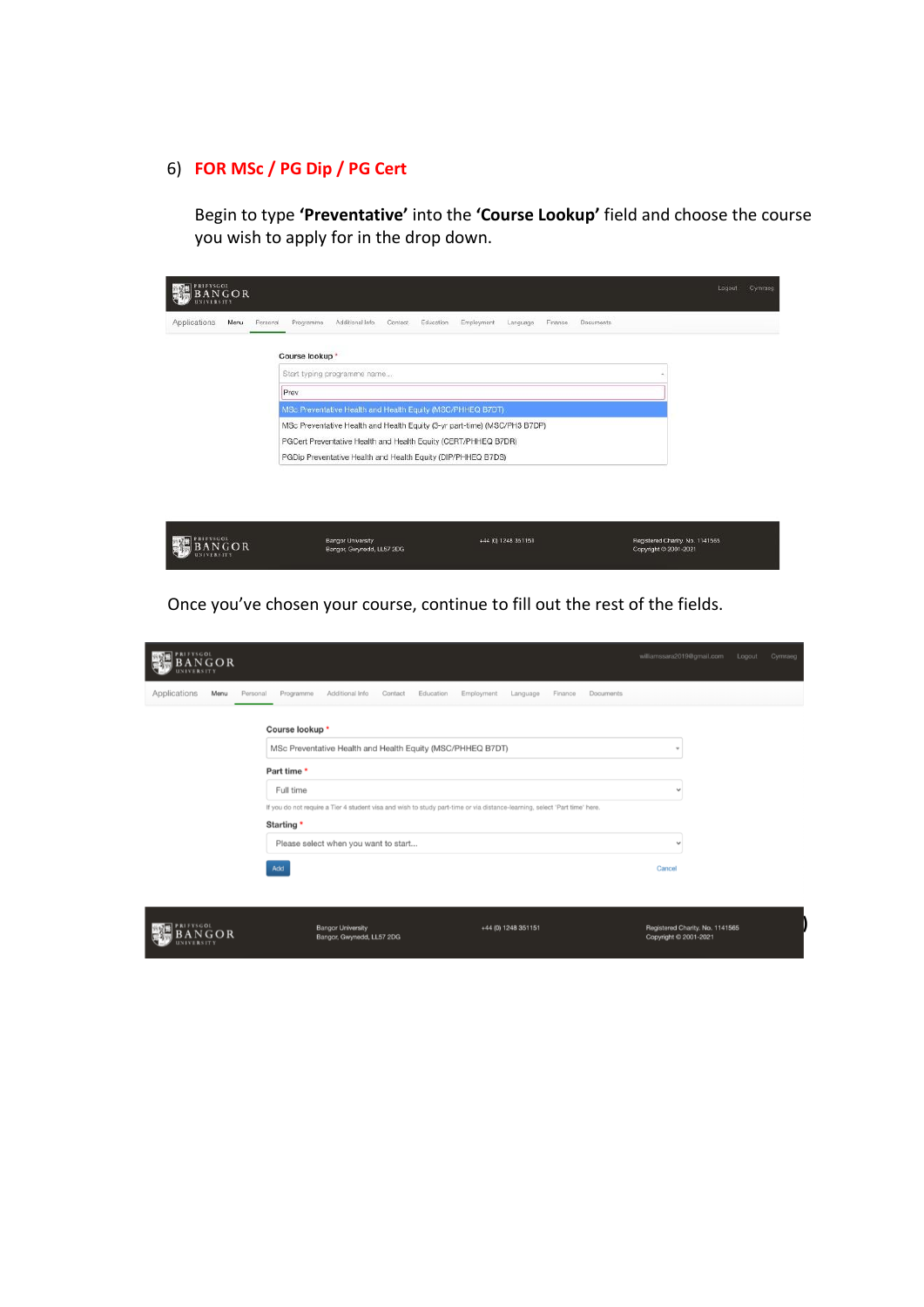## 6) **FOR MSc / PG Dip / PG Cert**

Begin to type **'Preventative'** into the **'Course Lookup'** field and choose the course you wish to apply for in the drop down.

| Prev | Course lookup *<br>Start typing programme name                            |  |
|------|---------------------------------------------------------------------------|--|
|      |                                                                           |  |
|      |                                                                           |  |
|      |                                                                           |  |
|      | MSc Preventative Health and Health Equity (MSC/PHHEQ B7DT)                |  |
|      | MSc Preventative Health and Health Equity (3-yr part-time) (MSC/PH3 B7DP) |  |
|      | PGCert Preventative Health and Health Equity (CERT/PHHEQ B7DR)            |  |
|      | PGDip Preventative Health and Health Equity (DIP/PHHEQ B7DS)              |  |
|      |                                                                           |  |
|      |                                                                           |  |
|      |                                                                           |  |

Once you've chosen your course, continue to fill out the rest of the fields.

| <b>PRIFYSGOL</b><br>$N$ GOR<br><b>NIVERSITY</b> |                                                                                                                                                                                                                                         | williamssara2019@gmail.com<br>Logout<br>Cymraeg          |
|-------------------------------------------------|-----------------------------------------------------------------------------------------------------------------------------------------------------------------------------------------------------------------------------------------|----------------------------------------------------------|
| Applications<br>Menu                            | Personal<br>Programme<br>Additional Info<br>Contact<br>Education<br>Employment<br>Documents<br>Language<br>Finance                                                                                                                      |                                                          |
|                                                 | Course lookup *<br>MSc Preventative Health and Health Equity (MSC/PHHEQ B7DT)<br>Part time *<br>Full time<br>If you do not require a Tier 4 student visa and wish to study part-time or via distance-learning, select 'Part time' here. | ٠<br>$\checkmark$                                        |
|                                                 | Starting *<br>Please select when you want to start<br>Add                                                                                                                                                                               | $\checkmark$<br>Cancel                                   |
| <b>YSGOL</b>                                    | <b>Bangor University</b><br>+44 (0) 1248 351151<br>Bangor, Gwynedd, LL57 2DG                                                                                                                                                            | Registered Charity. No. 1141565<br>Copyright © 2001-2021 |